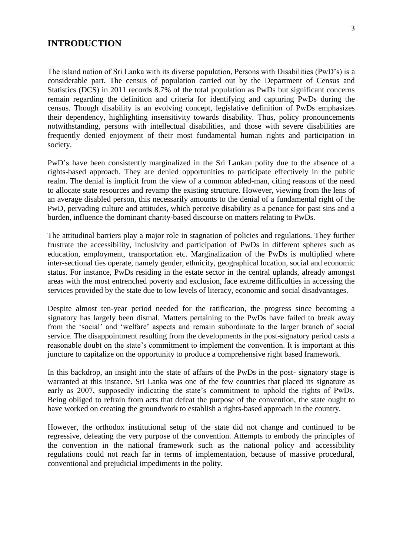#### **INTRODUCTION**

The island nation of Sri Lanka with its diverse population, Persons with Disabilities (PwD's) is a considerable part. The census of population carried out by the Department of Census and Statistics (DCS) in 2011 records 8.7% of the total population as PwDs but significant concerns remain regarding the definition and criteria for identifying and capturing PwDs during the census. Though disability is an evolving concept, legislative definition of PwDs emphasizes their dependency, highlighting insensitivity towards disability. Thus, policy pronouncements notwithstanding, persons with intellectual disabilities, and those with severe disabilities are frequently denied enjoyment of their most fundamental human rights and participation in society.

PwD's have been consistently marginalized in the Sri Lankan polity due to the absence of a rights-based approach. They are denied opportunities to participate effectively in the public realm. The denial is implicit from the view of a common abled-man, citing reasons of the need to allocate state resources and revamp the existing structure. However, viewing from the lens of an average disabled person, this necessarily amounts to the denial of a fundamental right of the PwD, pervading culture and attitudes, which perceive disability as a penance for past sins and a burden, influence the dominant charity-based discourse on matters relating to PwDs.

The attitudinal barriers play a major role in stagnation of policies and regulations. They further frustrate the accessibility, inclusivity and participation of PwDs in different spheres such as education, employment, transportation etc. Marginalization of the PwDs is multiplied where inter-sectional ties operate, namely gender, ethnicity, geographical location, social and economic status. For instance, PwDs residing in the estate sector in the central uplands, already amongst areas with the most entrenched poverty and exclusion, face extreme difficulties in accessing the services provided by the state due to low levels of literacy, economic and social disadvantages.

Despite almost ten-year period needed for the ratification, the progress since becoming a signatory has largely been dismal. Matters pertaining to the PwDs have failed to break away from the 'social' and 'welfare' aspects and remain subordinate to the larger branch of social service. The disappointment resulting from the developments in the post-signatory period casts a reasonable doubt on the state's commitment to implement the convention. It is important at this juncture to capitalize on the opportunity to produce a comprehensive right based framework.

In this backdrop, an insight into the state of affairs of the PwDs in the post- signatory stage is warranted at this instance. Sri Lanka was one of the few countries that placed its signature as early as 2007, supposedly indicating the state's commitment to uphold the rights of PwDs. Being obliged to refrain from acts that defeat the purpose of the convention, the state ought to have worked on creating the groundwork to establish a rights-based approach in the country.

However, the orthodox institutional setup of the state did not change and continued to be regressive, defeating the very purpose of the convention. Attempts to embody the principles of the convention in the national framework such as the national policy and accessibility regulations could not reach far in terms of implementation, because of massive procedural, conventional and prejudicial impediments in the polity.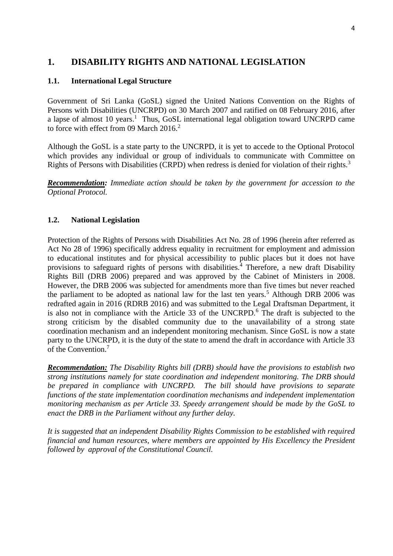# **1. DISABILITY RIGHTS AND NATIONAL LEGISLATION**

## **1.1. International Legal Structure**

Government of Sri Lanka (GoSL) signed the United Nations Convention on the Rights of Persons with Disabilities (UNCRPD) on 30 March 2007 and ratified on 08 February 2016, after a lapse of almost 10 years.<sup>1</sup> Thus, GoSL international legal obligation toward UNCRPD came to force with effect from 09 March 2016.<sup>2</sup>

Although the GoSL is a state party to the UNCRPD, it is yet to accede to the Optional Protocol which provides any individual or group of individuals to communicate with Committee on Rights of Persons with Disabilities (CRPD) when redress is denied for violation of their rights.<sup>3</sup>

*Recommendation: Immediate action should be taken by the government for accession to the Optional Protocol.* 

### **1.2. National Legislation**

Protection of the Rights of Persons with Disabilities Act No. 28 of 1996 (herein after referred as Act No 28 of 1996) specifically address equality in recruitment for employment and admission to educational institutes and for physical accessibility to public places but it does not have provisions to safeguard rights of persons with disabilities.<sup>4</sup> Therefore, a new draft Disability Rights Bill (DRB 2006) prepared and was approved by the Cabinet of Ministers in 2008. However, the DRB 2006 was subjected for amendments more than five times but never reached the parliament to be adopted as national law for the last ten years.<sup>5</sup> Although DRB 2006 was redrafted again in 2016 (RDRB 2016) and was submitted to the Legal Draftsman Department, it is also not in compliance with the Article 33 of the UNCRPD.<sup>6</sup> The draft is subjected to the strong criticism by the disabled community due to the unavailability of a strong state coordination mechanism and an independent monitoring mechanism. Since GoSL is now a state party to the UNCRPD, it is the duty of the state to amend the draft in accordance with Article 33 of the Convention.<sup>7</sup>

*Recommendation: The Disability Rights bill (DRB) should have the provisions to establish two strong institutions namely for state coordination and independent monitoring. The DRB should be prepared in compliance with UNCRPD. The bill should have provisions to separate functions of the state implementation coordination mechanisms and independent implementation monitoring mechanism as per Article 33. Speedy arrangement should be made by the GoSL to enact the DRB in the Parliament without any further delay.*

*It is suggested that an independent Disability Rights Commission to be established with required financial and human resources, where members are appointed by His Excellency the President followed by approval of the Constitutional Council.*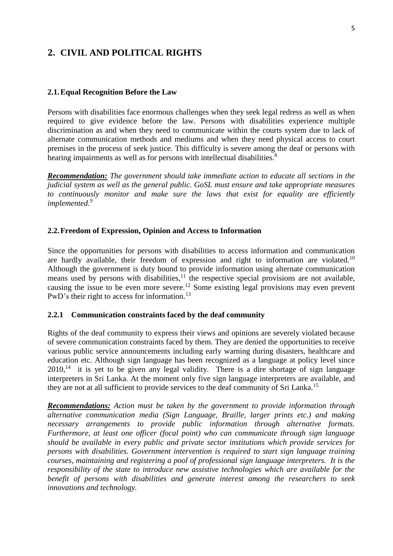## **2. CIVIL AND POLITICAL RIGHTS**

#### **2.1.Equal Recognition Before the Law**

Persons with disabilities face enormous challenges when they seek legal redress as well as when required to give evidence before the law. Persons with disabilities experience multiple discrimination as and when they need to communicate within the courts system due to lack of alternate communication methods and mediums and when they need physical access to court premises in the process of seek justice. This difficulty is severe among the deaf or persons with hearing impairments as well as for persons with intellectual disabilities.<sup>8</sup>

*Recommendation: The government should take immediate action to educate all sections in the judicial system as well as the general public. GoSL must ensure and take appropriate measures to continuously monitor and make sure the laws that exist for equality are efficiently implemented.<sup>9</sup>*

#### **2.2.Freedom of Expression, Opinion and Access to Information**

Since the opportunities for persons with disabilities to access information and communication are hardly available, their freedom of expression and right to information are violated.<sup>10</sup> Although the government is duty bound to provide information using alternate communication means used by persons with disabilities,<sup>11</sup> the respective special provisions are not available, causing the issue to be even more severe.<sup>12</sup> Some existing legal provisions may even prevent PwD's their right to access for information.<sup>13</sup>

#### **2.2.1 Communication constraints faced by the deaf community**

Rights of the deaf community to express their views and opinions are severely violated because of severe communication constraints faced by them. They are denied the opportunities to receive various public service announcements including early warning during disasters, healthcare and education etc. Although sign language has been recognized as a language at policy level since  $2010$ ,<sup>14</sup> it is yet to be given any legal validity. There is a dire shortage of sign language interpreters in Sri Lanka. At the moment only five sign language interpreters are available, and they are not at all sufficient to provide services to the deaf community of Sri Lanka.<sup>15</sup>

*Recommendations: Action must be taken by the government to provide information through alternative communication media (Sign Language, Braille, larger prints etc.) and making necessary arrangements to provide public information through alternative formats. Furthermore, at least one officer (focal point) who can communicate through sign language should be available in every public and private sector institutions which provide services for persons with disabilities. Government intervention is required to start sign language training courses, maintaining and registering a pool of professional sign language interpreters. It is the responsibility of the state to introduce new assistive technologies which are available for the benefit of persons with disabilities and generate interest among the researchers to seek innovations and technology.*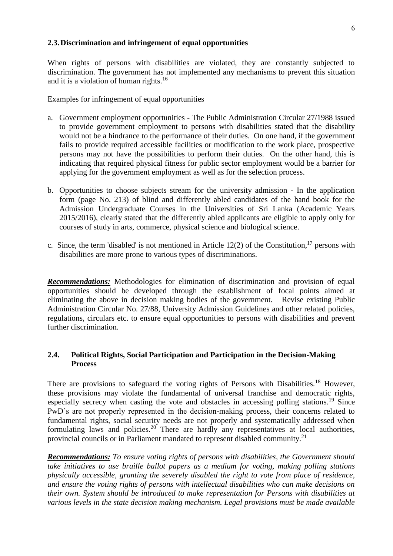#### **2.3.Discrimination and infringement of equal opportunities**

When rights of persons with disabilities are violated, they are constantly subjected to discrimination. The government has not implemented any mechanisms to prevent this situation and it is a violation of human rights.<sup>16</sup>

Examples for infringement of equal opportunities

- a. Government employment opportunities The Public Administration Circular 27/1988 issued to provide government employment to persons with disabilities stated that the disability would not be a hindrance to the performance of their duties. On one hand, if the government fails to provide required accessible facilities or modification to the work place, prospective persons may not have the possibilities to perform their duties. On the other hand, this is indicating that required physical fitness for public sector employment would be a barrier for applying for the government employment as well as for the selection process.
- b. Opportunities to choose subjects stream for the university admission In the application form (page No. 213) of blind and differently abled candidates of the hand book for the Admission Undergraduate Courses in the Universities of Sri Lanka (Academic Years 2015/2016), clearly stated that the differently abled applicants are eligible to apply only for courses of study in arts, commerce, physical science and biological science.
- c. Since, the term 'disabled' is not mentioned in Article 12(2) of the Constitution,<sup>17</sup> persons with disabilities are more prone to various types of discriminations.

*Recommendations:* Methodologies for elimination of discrimination and provision of equal opportunities should be developed through the establishment of focal points aimed at eliminating the above in decision making bodies of the government. Revise existing Public Administration Circular No. 27/88, University Admission Guidelines and other related policies, regulations, circulars etc. to ensure equal opportunities to persons with disabilities and prevent further discrimination.

### **2.4. Political Rights, Social Participation and Participation in the Decision-Making Process**

There are provisions to safeguard the voting rights of Persons with Disabilities.<sup>18</sup> However, these provisions may violate the fundamental of universal franchise and democratic rights, especially secrecy when casting the vote and obstacles in accessing polling stations.<sup>19</sup> Since PwD's are not properly represented in the decision-making process, their concerns related to fundamental rights, social security needs are not properly and systematically addressed when formulating laws and policies.<sup>20</sup> There are hardly any representatives at local authorities, provincial councils or in Parliament mandated to represent disabled community.<sup>21</sup>

*Recommendations: To ensure voting rights of persons with disabilities, the Government should take initiatives to use braille ballot papers as a medium for voting, making polling stations physically accessible, granting the severely disabled the right to vote from place of residence, and ensure the voting rights of persons with intellectual disabilities who can make decisions on their own. System should be introduced to make representation for Persons with disabilities at various levels in the state decision making mechanism. Legal provisions must be made available*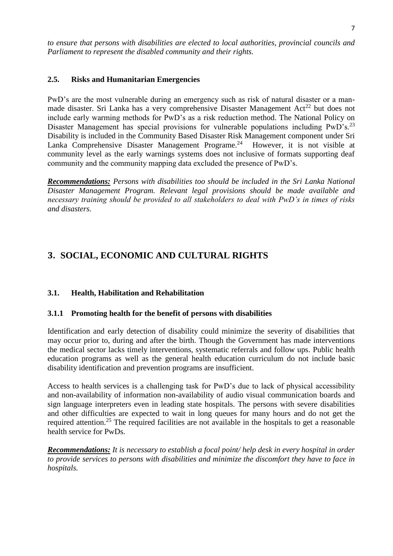*to ensure that persons with disabilities are elected to local authorities, provincial councils and Parliament to represent the disabled community and their rights.*

## **2.5. Risks and Humanitarian Emergencies**

PwD's are the most vulnerable during an emergency such as risk of natural disaster or a manmade disaster. Sri Lanka has a very comprehensive Disaster Management  $Act^{22}$  but does not include early warming methods for PwD's as a risk reduction method. The National Policy on Disaster Management has special provisions for vulnerable populations including PwD's.<sup>23</sup> Disability is included in the Community Based Disaster Risk Management component under Sri Lanka Comprehensive Disaster Management Programe.<sup>24</sup> However, it is not visible at community level as the early warnings systems does not inclusive of formats supporting deaf community and the community mapping data excluded the presence of PwD's.

*Recommendations: Persons with disabilities too should be included in the Sri Lanka National Disaster Management Program. Relevant legal provisions should be made available and necessary training should be provided to all stakeholders to deal with PwD's in times of risks and disasters.*

# **3. SOCIAL, ECONOMIC AND CULTURAL RIGHTS**

## **3.1. Health, Habilitation and Rehabilitation**

#### **3.1.1 Promoting health for the benefit of persons with disabilities**

Identification and early detection of disability could minimize the severity of disabilities that may occur prior to, during and after the birth. Though the Government has made interventions the medical sector lacks timely interventions, systematic referrals and follow ups. Public health education programs as well as the general health education curriculum do not include basic disability identification and prevention programs are insufficient.

Access to health services is a challenging task for PwD's due to lack of physical accessibility and non-availability of information non-availability of audio visual communication boards and sign language interpreters even in leading state hospitals. The persons with severe disabilities and other difficulties are expected to wait in long queues for many hours and do not get the required attention.<sup>25</sup> The required facilities are not available in the hospitals to get a reasonable health service for PwDs.

*Recommendations: It is necessary to establish a focal point/ help desk in every hospital in order to provide services to persons with disabilities and minimize the discomfort they have to face in hospitals.*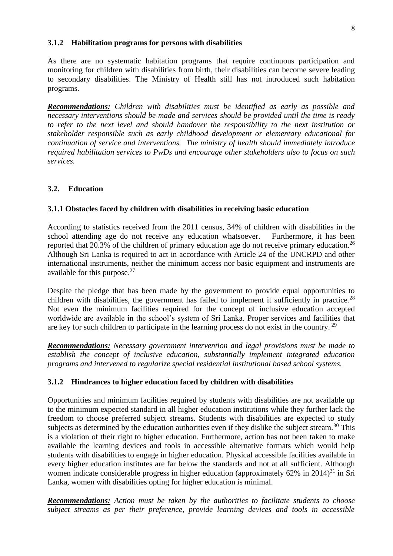#### **3.1.2 Habilitation programs for persons with disabilities**

As there are no systematic habitation programs that require continuous participation and monitoring for children with disabilities from birth, their disabilities can become severe leading to secondary disabilities. The Ministry of Health still has not introduced such habitation programs.

*Recommendations: Children with disabilities must be identified as early as possible and necessary interventions should be made and services should be provided until the time is ready to refer to the next level and should handover the responsibility to the next institution or stakeholder responsible such as early childhood development or elementary educational for continuation of service and interventions. The ministry of health should immediately introduce required habilitation services to PwDs and encourage other stakeholders also to focus on such services.* 

## **3.2. Education**

#### **3.1.1 Obstacles faced by children with disabilities in receiving basic education**

According to statistics received from the 2011 census, 34% of children with disabilities in the school attending age do not receive any education whatsoever. Furthermore, it has been reported that 20.3% of the children of primary education age do not receive primary education.<sup>26</sup> Although Sri Lanka is required to act in accordance with Article 24 of the UNCRPD and other international instruments, neither the minimum access nor basic equipment and instruments are available for this purpose. $27$ 

Despite the pledge that has been made by the government to provide equal opportunities to children with disabilities, the government has failed to implement it sufficiently in practice.<sup>28</sup> Not even the minimum facilities required for the concept of inclusive education accepted worldwide are available in the school's system of Sri Lanka. Proper services and facilities that are key for such children to participate in the learning process do not exist in the country.<sup>29</sup>

*Recommendations: Necessary government intervention and legal provisions must be made to establish the concept of inclusive education, substantially implement integrated education programs and intervened to regularize special residential institutional based school systems.* 

#### **3.1.2 Hindrances to higher education faced by children with disabilities**

Opportunities and minimum facilities required by students with disabilities are not available up to the minimum expected standard in all higher education institutions while they further lack the freedom to choose preferred subject streams. Students with disabilities are expected to study subjects as determined by the education authorities even if they dislike the subject stream.<sup>30</sup> This is a violation of their right to higher education. Furthermore, action has not been taken to make available the learning devices and tools in accessible alternative formats which would help students with disabilities to engage in higher education. Physical accessible facilities available in every higher education institutes are far below the standards and not at all sufficient. Although women indicate considerable progress in higher education (approximately  $62\%$  in  $2014$ )<sup>31</sup> in Sri Lanka, women with disabilities opting for higher education is minimal.

*Recommendations: Action must be taken by the authorities to facilitate students to choose subject streams as per their preference, provide learning devices and tools in accessible*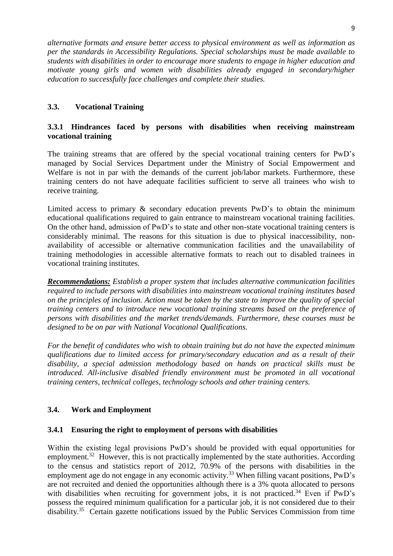*alternative formats and ensure better access to physical environment as well as information as per the standards in Accessibility Regulations. Special scholarships must be made available to students with disabilities in order to encourage more students to engage in higher education and motivate young girls and women with disabilities already engaged in secondary/higher education to successfully face challenges and complete their studies.* 

## **3.3. Vocational Training**

## **3.3.1 Hindrances faced by persons with disabilities when receiving mainstream vocational training**

The training streams that are offered by the special vocational training centers for PwD's managed by Social Services Department under the Ministry of Social Empowerment and Welfare is not in par with the demands of the current job/labor markets. Furthermore, these training centers do not have adequate facilities sufficient to serve all trainees who wish to receive training.

Limited access to primary  $\&$  secondary education prevents PwD's to obtain the minimum educational qualifications required to gain entrance to mainstream vocational training facilities. On the other hand, admission of PwD's to state and other non-state vocational training centers is considerably minimal. The reasons for this situation is due to physical inaccessibility, nonavailability of accessible or alternative communication facilities and the unavailability of training methodologies in accessible alternative formats to reach out to disabled trainees in vocational training institutes.

*Recommendations: Establish a proper system that includes alternative communication facilities required to include persons with disabilities into mainstream vocational training institutes based on the principles of inclusion. Action must be taken by the state to improve the quality of special training centers and to introduce new vocational training streams based on the preference of persons with disabilities and the market trends/demands. Furthermore, these courses must be designed to be on par with National Vocational Qualifications.* 

*For the benefit of candidates who wish to obtain training but do not have the expected minimum qualifications due to limited access for primary/secondary education and as a result of their disability, a special admission methodology based on hands on practical skills must be introduced. All-inclusive disabled friendly environment must be promoted in all vocational training centers, technical colleges, technology schools and other training centers.* 

## **3.4. Work and Employment**

#### **3.4.1 Ensuring the right to employment of persons with disabilities**

Within the existing legal provisions PwD's should be provided with equal opportunities for employment.<sup>32</sup> However, this is not practically implemented by the state authorities. According to the census and statistics report of 2012, 70.9% of the persons with disabilities in the employment age do not engage in any economic activity.<sup>33</sup> When filling vacant positions, PwD's are not recruited and denied the opportunities although there is a 3% quota allocated to persons with disabilities when recruiting for government jobs, it is not practiced.<sup>34</sup> Even if  $PwD's$ possess the required minimum qualification for a particular job, it is not considered due to their disability.<sup>35</sup> Certain gazette notifications issued by the Public Services Commission from time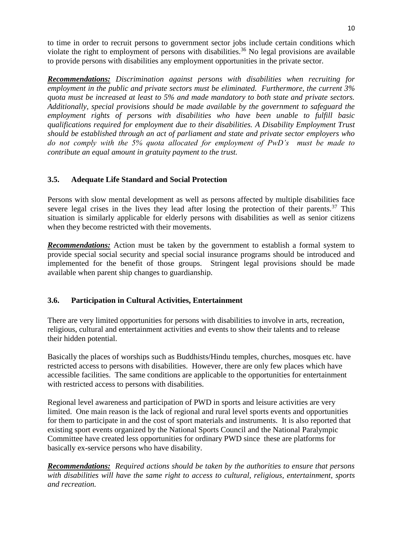to time in order to recruit persons to government sector jobs include certain conditions which violate the right to employment of persons with disabilities.<sup>36</sup> No legal provisions are available to provide persons with disabilities any employment opportunities in the private sector.

*Recommendations: Discrimination against persons with disabilities when recruiting for employment in the public and private sectors must be eliminated. Furthermore, the current 3% quota must be increased at least to 5% and made mandatory to both state and private sectors. Additionally, special provisions should be made available by the government to safeguard the employment rights of persons with disabilities who have been unable to fulfill basic qualifications required for employment due to their disabilities. A Disability Employment Trust should be established through an act of parliament and state and private sector employers who do not comply with the 5% quota allocated for employment of PwD's must be made to contribute an equal amount in gratuity payment to the trust.* 

## **3.5. Adequate Life Standard and Social Protection**

Persons with slow mental development as well as persons affected by multiple disabilities face severe legal crises in the lives they lead after losing the protection of their parents.<sup>37</sup> This situation is similarly applicable for elderly persons with disabilities as well as senior citizens when they become restricted with their movements.

**Recommendations:** Action must be taken by the government to establish a formal system to provide special social security and special social insurance programs should be introduced and implemented for the benefit of those groups. Stringent legal provisions should be made available when parent ship changes to guardianship.

## **3.6. Participation in Cultural Activities, Entertainment**

There are very limited opportunities for persons with disabilities to involve in arts, recreation, religious, cultural and entertainment activities and events to show their talents and to release their hidden potential.

Basically the places of worships such as Buddhists/Hindu temples, churches, mosques etc. have restricted access to persons with disabilities. However, there are only few places which have accessible facilities. The same conditions are applicable to the opportunities for entertainment with restricted access to persons with disabilities.

Regional level awareness and participation of PWD in sports and leisure activities are very limited. One main reason is the lack of regional and rural level sports events and opportunities for them to participate in and the cost of sport materials and instruments. It is also reported that existing sport events organized by the National Sports Council and the National Paralympic Committee have created less opportunities for ordinary PWD since these are platforms for basically ex-service persons who have disability.

*Recommendations: Required actions should be taken by the authorities to ensure that persons with disabilities will have the same right to access to cultural, religious, entertainment, sports and recreation.*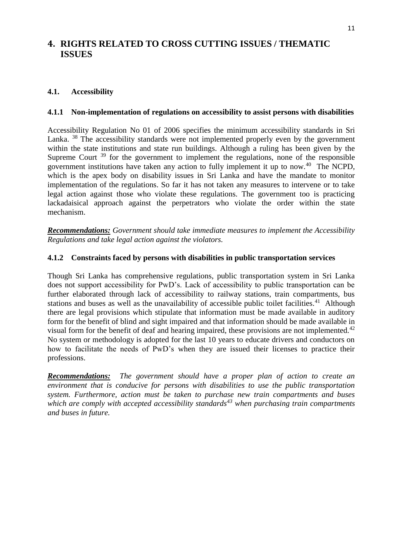# **4. RIGHTS RELATED TO CROSS CUTTING ISSUES / THEMATIC ISSUES**

## **4.1. Accessibility**

### **4.1.1 Non-implementation of regulations on accessibility to assist persons with disabilities**

Accessibility Regulation No 01 of 2006 specifies the minimum accessibility standards in Sri Lanka. <sup>38</sup> The accessibility standards were not implemented properly even by the government within the state institutions and state run buildings. Although a ruling has been given by the Supreme Court<sup>39</sup> for the government to implement the regulations, none of the responsible government institutions have taken any action to fully implement it up to now.<sup>40</sup> The NCPD, which is the apex body on disability issues in Sri Lanka and have the mandate to monitor implementation of the regulations. So far it has not taken any measures to intervene or to take legal action against those who violate these regulations. The government too is practicing lackadaisical approach against the perpetrators who violate the order within the state mechanism.

*Recommendations: Government should take immediate measures to implement the Accessibility Regulations and take legal action against the violators.* 

#### **4.1.2 Constraints faced by persons with disabilities in public transportation services**

Though Sri Lanka has comprehensive regulations, public transportation system in Sri Lanka does not support accessibility for PwD's. Lack of accessibility to public transportation can be further elaborated through lack of accessibility to railway stations, train compartments, bus stations and buses as well as the unavailability of accessible public toilet facilities.<sup>41</sup> Although there are legal provisions which stipulate that information must be made available in auditory form for the benefit of blind and sight impaired and that information should be made available in visual form for the benefit of deaf and hearing impaired, these provisions are not implemented.<sup>42</sup> No system or methodology is adopted for the last 10 years to educate drivers and conductors on how to facilitate the needs of PwD's when they are issued their licenses to practice their professions.

*Recommendations: The government should have a proper plan of action to create an environment that is conducive for persons with disabilities to use the public transportation system. Furthermore, action must be taken to purchase new train compartments and buses which are comply with accepted accessibility standards<sup>43</sup> when purchasing train compartments and buses in future.*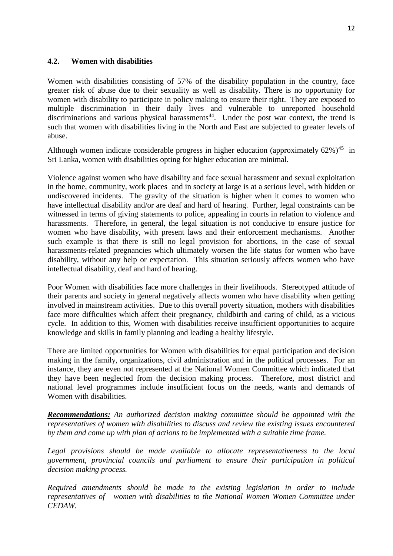#### **4.2. Women with disabilities**

Women with disabilities consisting of 57% of the disability population in the country, face greater risk of abuse due to their sexuality as well as disability. There is no opportunity for women with disability to participate in policy making to ensure their right. They are exposed to multiple discrimination in their daily lives and vulnerable to unreported household discriminations and various physical harassments<sup>44</sup>. Under the post war context, the trend is such that women with disabilities living in the North and East are subjected to greater levels of abuse.

Although women indicate considerable progress in higher education (approximately  $62\%$ )<sup>45</sup> in Sri Lanka, women with disabilities opting for higher education are minimal.

Violence against women who have disability and face sexual harassment and sexual exploitation in the home, community, work places and in society at large is at a serious level, with hidden or undiscovered incidents. The gravity of the situation is higher when it comes to women who have intellectual disability and/or are deaf and hard of hearing. Further, legal constraints can be witnessed in terms of giving statements to police, appealing in courts in relation to violence and harassments. Therefore, in general, the legal situation is not conducive to ensure justice for women who have disability, with present laws and their enforcement mechanisms. Another such example is that there is still no legal provision for abortions, in the case of sexual harassments-related pregnancies which ultimately worsen the life status for women who have disability, without any help or expectation. This situation seriously affects women who have intellectual disability, deaf and hard of hearing.

Poor Women with disabilities face more challenges in their livelihoods. Stereotyped attitude of their parents and society in general negatively affects women who have disability when getting involved in mainstream activities. Due to this overall poverty situation, mothers with disabilities face more difficulties which affect their pregnancy, childbirth and caring of child, as a vicious cycle. In addition to this, Women with disabilities receive insufficient opportunities to acquire knowledge and skills in family planning and leading a healthy lifestyle.

There are limited opportunities for Women with disabilities for equal participation and decision making in the family, organizations, civil administration and in the political processes. For an instance, they are even not represented at the National Women Committee which indicated that they have been neglected from the decision making process. Therefore, most district and national level programmes include insufficient focus on the needs, wants and demands of Women with disabilities.

*Recommendations: An authorized decision making committee should be appointed with the representatives of women with disabilities to discuss and review the existing issues encountered by them and come up with plan of actions to be implemented with a suitable time frame.* 

*Legal provisions should be made available to allocate representativeness to the local government, provincial councils and parliament to ensure their participation in political decision making process.* 

*Required amendments should be made to the existing legislation in order to include representatives of women with disabilities to the National Women Women Committee under CEDAW.*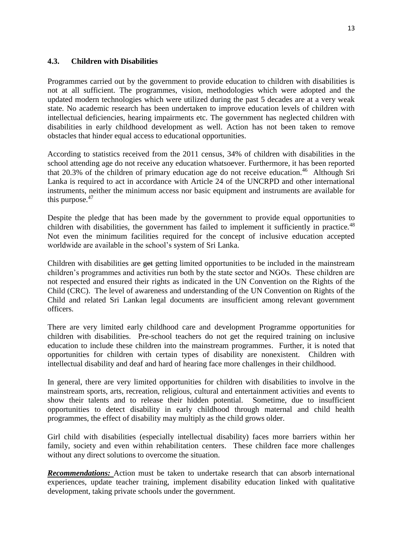### **4.3. Children with Disabilities**

Programmes carried out by the government to provide education to children with disabilities is not at all sufficient. The programmes, vision, methodologies which were adopted and the updated modern technologies which were utilized during the past 5 decades are at a very weak state. No academic research has been undertaken to improve education levels of children with intellectual deficiencies, hearing impairments etc. The government has neglected children with disabilities in early childhood development as well. Action has not been taken to remove obstacles that hinder equal access to educational opportunities.

According to statistics received from the 2011 census, 34% of children with disabilities in the school attending age do not receive any education whatsoever. Furthermore, it has been reported that 20.3% of the children of primary education age do not receive education.<sup>46</sup> Although Sri Lanka is required to act in accordance with Article 24 of the UNCRPD and other international instruments, neither the minimum access nor basic equipment and instruments are available for this purpose. $47$ 

Despite the pledge that has been made by the government to provide equal opportunities to children with disabilities, the government has failed to implement it sufficiently in practice.<sup>48</sup> Not even the minimum facilities required for the concept of inclusive education accepted worldwide are available in the school's system of Sri Lanka.

Children with disabilities are get getting limited opportunities to be included in the mainstream children's programmes and activities run both by the state sector and NGOs. These children are not respected and ensured their rights as indicated in the UN Convention on the Rights of the Child (CRC). The level of awareness and understanding of the UN Convention on Rights of the Child and related Sri Lankan legal documents are insufficient among relevant government officers.

There are very limited early childhood care and development Programme opportunities for children with disabilities. Pre-school teachers do not get the required training on inclusive education to include these children into the mainstream programmes. Further, it is noted that opportunities for children with certain types of disability are nonexistent. Children with intellectual disability and deaf and hard of hearing face more challenges in their childhood.

In general, there are very limited opportunities for children with disabilities to involve in the mainstream sports, arts, recreation, religious, cultural and entertainment activities and events to show their talents and to release their hidden potential. Sometime, due to insufficient opportunities to detect disability in early childhood through maternal and child health programmes, the effect of disability may multiply as the child grows older.

Girl child with disabilities (especially intellectual disability) faces more barriers within her family, society and even within rehabilitation centers. These children face more challenges without any direct solutions to overcome the situation.

*Recommendations:* Action must be taken to undertake research that can absorb international experiences, update teacher training, implement disability education linked with qualitative development, taking private schools under the government.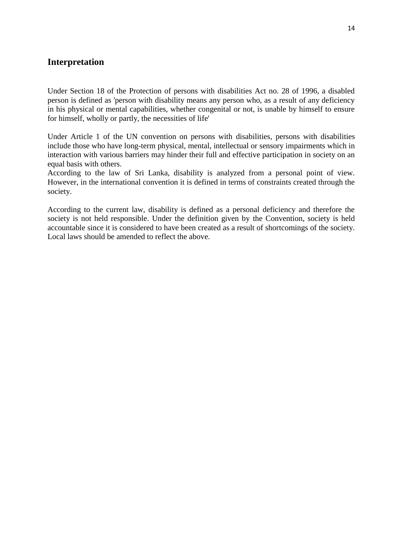## **Interpretation**

Under Section 18 of the Protection of persons with disabilities Act no. 28 of 1996, a disabled person is defined as 'person with disability means any person who, as a result of any deficiency in his physical or mental capabilities, whether congenital or not, is unable by himself to ensure for himself, wholly or partly, the necessities of life'

Under Article 1 of the UN convention on persons with disabilities, persons with disabilities include those who have long-term physical, mental, intellectual or sensory impairments which in interaction with various barriers may hinder their full and effective participation in society on an equal basis with others.

According to the law of Sri Lanka, disability is analyzed from a personal point of view. However, in the international convention it is defined in terms of constraints created through the society.

According to the current law, disability is defined as a personal deficiency and therefore the society is not held responsible. Under the definition given by the Convention, society is held accountable since it is considered to have been created as a result of shortcomings of the society. Local laws should be amended to reflect the above.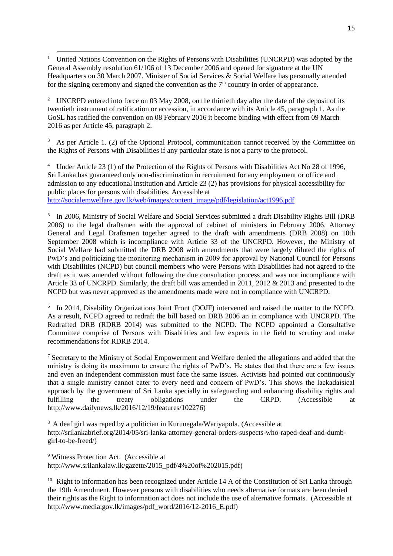$\overline{\phantom{a}}$ <sup>1</sup> United Nations Convention on the Rights of Persons with Disabilities (UNCRPD) was adopted by the General Assembly resolution 61/106 of 13 December 2006 and opened for signature at the UN Headquarters on 30 March 2007. Minister of Social Services & Social Welfare has personally attended for the signing ceremony and signed the convention as the  $7<sup>th</sup>$  country in order of appearance.

<sup>2</sup> UNCRPD entered into force on 03 May 2008, on the thirtieth day after the date of the deposit of its twentieth instrument of ratification or accession, in accordance with its Article 45, paragraph 1. As the GoSL has ratified the convention on 08 February 2016 it become binding with effect from 09 March 2016 as per Article 45, paragraph 2.

 $3\,\text{As}$  per Article 1. (2) of the Optional Protocol, communication cannot received by the Committee on the Rights of Persons with Disabilities if any particular state is not a party to the protocol.

<sup>4</sup> Under Article 23 (1) of the Protection of the Rights of Persons with Disabilities Act No 28 of 1996, Sri Lanka has guaranteed only non-discrimination in recruitment for any employment or office and admission to any educational institution and Article 23 (2) has provisions for physical accessibility for public places for persons with disabilities. Accessible at [http://socialemwelfare.gov.lk/web/images/content\\_image/pdf/legislation/act1996.pdf](http://socialemwelfare.gov.lk/web/images/content_image/pdf/legislation/act1996.pdf)

<sup>5</sup> In 2006, Ministry of Social Welfare and Social Services submitted a draft Disability Rights Bill (DRB 2006) to the legal draftsmen with the approval of cabinet of ministers in February 2006. Attorney General and Legal Draftsmen together agreed to the draft with amendments (DRB 2008) on 10th September 2008 which is incompliance with Article 33 of the UNCRPD. However, the Ministry of Social Welfare had submitted the DRB 2008 with amendments that were largely diluted the rights of PwD's and politicizing the monitoring mechanism in 2009 for approval by National Council for Persons with Disabilities (NCPD) but council members who were Persons with Disabilities had not agreed to the draft as it was amended without following the due consultation process and was not incompliance with Article 33 of UNCRPD. Similarly, the draft bill was amended in 2011, 2012 & 2013 and presented to the NCPD but was never approved as the amendments made were not in compliance with UNCRPD.

<sup>6</sup> In 2014, Disability Organizations Joint Front (DOJF) intervened and raised the matter to the NCPD. As a result, NCPD agreed to redraft the bill based on DRB 2006 an in compliance with UNCRPD. The Redrafted DRB (RDRB 2014) was submitted to the NCPD. The NCPD appointed a Consultative Committee comprise of Persons with Disabilities and few experts in the field to scrutiny and make recommendations for RDRB 2014.

<sup>7</sup> Secretary to the Ministry of Social Empowerment and Welfare denied the allegations and added that the ministry is doing its maximum to ensure the rights of PwD's. He states that that there are a few issues and even an independent commission must face the same issues. Activists had pointed out continuously that a single ministry cannot cater to every need and concern of PwD's. This shows the lackadaisical approach by the government of Sri Lanka specially in safeguarding and enhancing disability rights and fulfilling the treaty obligations under the CRPD. (Accessible at [http://www.dailynews.lk/2016/12/19/features/102276\)](http://www.dailynews.lk/2016/12/19/features/102276)

<sup>8</sup> A deaf girl was raped by a politician in Kurunegala/Wariyapola. (Accessible at http://srilankabrief.org/2014/05/sri-lanka-attorney-general-orders-suspects-who-raped-deaf-and-dumbgirl-to-be-freed/)

<sup>9</sup> Witness Protection Act. (Accessible at [http://www.srilankalaw.lk/gazette/2015\\_pdf/4%20of%202015.pdf\)](http://www.srilankalaw.lk/gazette/2015_pdf/4%20of%202015.pdf)

<sup>10</sup> Right to information has been recognized under Article 14 A of the Constitution of Sri Lanka through the 19th Amendment. However persons with disabilities who needs alternative formats are been denied their rights as the Right to information act does not include the use of alternative formats. (Accessible at [http://www.media.gov.lk/images/pdf\\_word/2016/12-2016\\_E.pdf\)](http://www.media.gov.lk/images/pdf_word/2016/12-2016_E.pdf)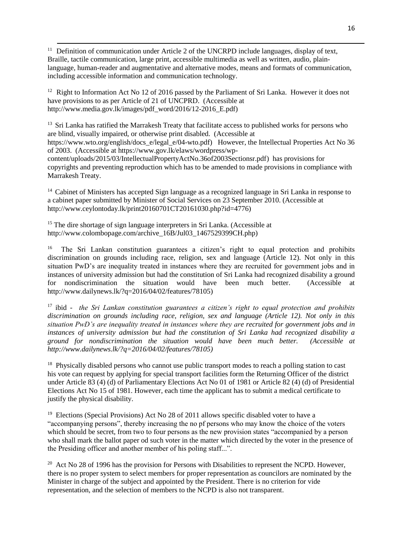<sup>11</sup> Definition of communication under Article 2 of the UNCRPD include languages, display of text, Braille, tactile communication, large print, accessible multimedia as well as written, audio, plainlanguage, human-reader and augmentative and alternative modes, means and formats of communication, including accessible information and communication technology.

<sup>12</sup> Right to Information Act No 12 of 2016 passed by the Parliament of Sri Lanka. However it does not have provisions to as per Article of 21 of UNCPRD. (Accessible at http://www.media.gov.lk/images/pdf\_word/2016/12-2016\_E.pdf)

<sup>13</sup> Sri Lanka has ratified the Marrakesh Treaty that facilitate access to published works for persons who are blind, visually impaired, or otherwise print disabled. (Accessible at [https://www.wto.org/english/docs\\_e/legal\\_e/04-wto.pdf\)](https://www.wto.org/english/docs_e/legal_e/04-wto.pdf) However, the Intellectual Properties Act No 36 of 2003. (Accessible at [https://www.gov.lk/elaws/wordpress/wp](https://www.gov.lk/elaws/wordpress/wp-content/uploads/2015/03/IntellectualPropertyActNo.36of2003Sectionsr.pdf)[content/uploads/2015/03/IntellectualPropertyActNo.36of2003Sectionsr.pdf\)](https://www.gov.lk/elaws/wordpress/wp-content/uploads/2015/03/IntellectualPropertyActNo.36of2003Sectionsr.pdf) has provisions for copyrights and preventing reproduction which has to be amended to made provisions in compliance with Marrakesh Treaty.

<sup>14</sup> Cabinet of Ministers has accepted Sign language as a recognized language in Sri Lanka in response to a cabinet paper submitted by Minister of Social Services on 23 September 2010. (Accessible at http://www.ceylontoday.lk/print20160701CT20161030.php?id=4776)

<sup>15</sup> The dire shortage of sign language interpreters in Sri Lanka. (Accessible at http://www.colombopage.com/archive\_16B/Jul03\_1467529399CH.php)

 $\overline{a}$ 

<sup>16</sup> The Sri Lankan constitution guarantees a citizen's right to equal protection and prohibits discrimination on grounds including race, religion, sex and language (Article 12). Not only in this situation PwD's are inequality treated in instances where they are recruited for government jobs and in instances of university admission but had the constitution of Sri Lanka had recognized disability a ground for nondiscrimination the situation would have been much better. (Accessible at [http://www.dailynews.lk/?q=2016/04/02/features/78105\)](http://www.dailynews.lk/?q=2016/04/02/features/78105)

<sup>17</sup> ibid - *the Sri Lankan constitution guarantees a citizen's right to equal protection and prohibits discrimination on grounds including race, religion, sex and language (Article 12). Not only in this situation PwD's are inequality treated in instances where they are recruited for government jobs and in instances of university admission but had the constitution of Sri Lanka had recognized disability a ground for nondiscrimination the situation would have been much better. (Accessible at [http://www.dailynews.lk/?q=2016/04/02/features/78105\)](http://www.dailynews.lk/?q=2016/04/02/features/78105)*

<sup>18</sup> Physically disabled persons who cannot use public transport modes to reach a polling station to cast his vote can request by applying for special transport facilities form the Returning Officer of the district under Article 83 (4) (d) of Parliamentary Elections Act No 01 of 1981 or Article 82 (4) (d) of Presidential Elections Act No 15 of 1981. However, each time the applicant has to submit a medical certificate to justify the physical disability.

<sup>19</sup> Elections (Special Provisions) Act No 28 of 2011 allows specific disabled voter to have a "accompanying persons", thereby increasing the no pf persons who may know the choice of the voters which should be secret, from two to four persons as the new provision states "accompanied by a person who shall mark the ballot paper od such voter in the matter which directed by the voter in the presence of the Presiding officer and another member of his poling staff...".

 $20$  Act No 28 of 1996 has the provision for Persons with Disabilities to represent the NCPD. However, there is no proper system to select members for proper representation as councilors are nominated by the Minister in charge of the subject and appointed by the President. There is no criterion for vide representation, and the selection of members to the NCPD is also not transparent.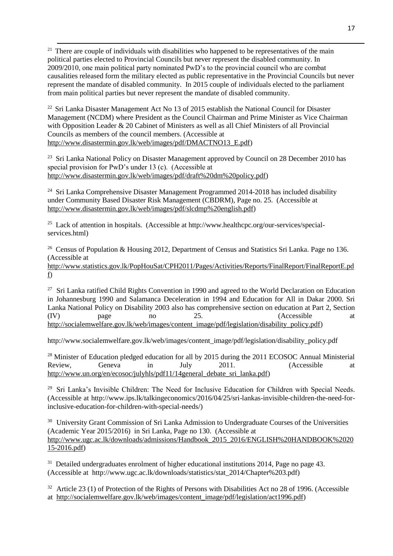<sup>21</sup> There are couple of individuals with disabilities who happened to be representatives of the main political parties elected to Provincial Councils but never represent the disabled community. In 2009/2010, one main political party nominated PwD's to the provincial council who are combat causalities released form the military elected as public representative in the Provincial Councils but never represent the mandate of disabled community. In 2015 couple of individuals elected to the parliament from main political parties but never represent the mandate of disabled community.

 $\overline{a}$ 

 $^{22}$  Sri Lanka Disaster Management Act No 13 of 2015 establish the National Council for Disaster Management (NCDM) where President as the Council Chairman and Prime Minister as Vice Chairman with Opposition Leader & 20 Cabinet of Ministers as well as all Chief Ministers of all Provincial Councils as members of the council members. (Accessible at [http://www.disastermin.gov.lk/web/images/pdf/DMACTNO13\\_E.pdf\)](http://www.disastermin.gov.lk/web/images/pdf/DMACTNO13_E.pdf)

<sup>23</sup> Sri Lanka National Policy on Disaster Management approved by Council on 28 December 2010 has special provision for PwD's under 13 (c). (Accessible at [http://www.disastermin.gov.lk/web/images/pdf/draft%20dm%20policy.pdf\)](http://www.disastermin.gov.lk/web/images/pdf/draft%20dm%20policy.pdf)

 $24$  Sri Lanka Comprehensive Disaster Management Programmed 2014-2018 has included disability under Community Based Disaster Risk Management (CBDRM), Page no. 25. (Accessible at [http://www.disastermin.gov.lk/web/images/pdf/slcdmp%20english.pdf\)](http://www.disastermin.gov.lk/web/images/pdf/slcdmp%20english.pdf)

<sup>25</sup> Lack of attention in hospitals. (Accessible at http://www.healthcpc.org/our-services/specialservices.html)

<sup>26</sup> Census of Population & Housing 2012, Department of Census and Statistics Sri Lanka. Page no 136. (Accessible at

[http://www.statistics.gov.lk/PopHouSat/CPH2011/Pages/Activities/Reports/FinalReport/FinalReportE.pd](http://www.statistics.gov.lk/PopHouSat/CPH2011/Pages/Activities/Reports/FinalReport/FinalReportE.pdf) [f\)](http://www.statistics.gov.lk/PopHouSat/CPH2011/Pages/Activities/Reports/FinalReport/FinalReportE.pdf)

<sup>27</sup> Sri Lanka ratified Child Rights Convention in 1990 and agreed to the World Declaration on Education in Johannesburg 1990 and Salamanca Deceleration in 1994 and Education for All in Dakar 2000. Sri Lanka National Policy on Disability 2003 also has comprehensive section on education at Part 2, Section (IV) page no 25. (Accessible at [http://socialemwelfare.gov.lk/web/images/content\\_image/pdf/legislation/disability\\_policy.pdf\)](http://socialemwelfare.gov.lk/web/images/content_image/pdf/legislation/disability_policy.pdf)

http://www.socialemwelfare.gov.lk/web/images/content\_image/pdf/legislation/disability\_policy.pdf

<sup>28</sup> Minister of Education pledged education for all by 2015 during the 2011 ECOSOC Annual Ministerial Review. Geneva in July 2011. (Accessible at [http://www.un.org/en/ecosoc/julyhls/pdf11/14general\\_debate\\_sri\\_lanka.pdf\)](http://www.un.org/en/ecosoc/julyhls/pdf11/14general_debate_sri_lanka.pdf)

<sup>29</sup> Sri Lanka's Invisible Children: The Need for Inclusive Education for Children with Special Needs. (Accessible at http://www.ips.lk/talkingeconomics/2016/04/25/sri-lankas-invisible-children-the-need-forinclusive-education-for-children-with-special-needs/)

<sup>30</sup> University Grant Commission of Sri Lanka Admission to Undergraduate Courses of the Universities (Academic Year 2015/2016) in Sri Lanka, Page no 130. (Accessible at [http://www.ugc.ac.lk/downloads/admissions/Handbook\\_2015\\_2016/ENGLISH%20HANDBOOK%2020](http://www.ugc.ac.lk/downloads/admissions/Handbook_2015_2016/ENGLISH%20HANDBOOK%202015-2016.pdf) [15-2016.pdf\)](http://www.ugc.ac.lk/downloads/admissions/Handbook_2015_2016/ENGLISH%20HANDBOOK%202015-2016.pdf)

<sup>31</sup> Detailed undergraduates enrolment of higher educational institutions 2014, Page no page 43. (Accessible at http://www.ugc.ac.lk/downloads/statistics/stat\_2014/Chapter%203.pdf)

 $32$  Article 23 (1) of Protection of the Rights of Persons with Disabilities Act no 28 of 1996. (Accessible at [http://socialemwelfare.gov.lk/web/images/content\\_image/pdf/legislation/act1996.pdf\)](http://socialemwelfare.gov.lk/web/images/content_image/pdf/legislation/act1996.pdf)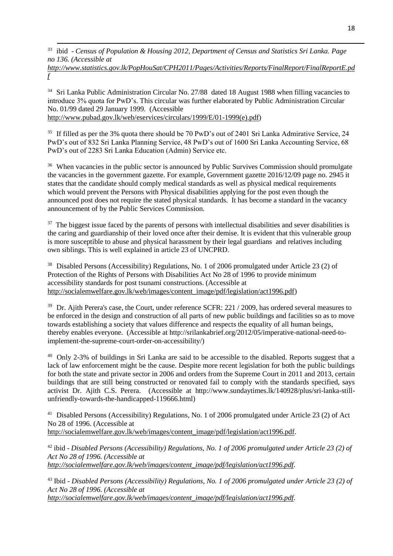$\overline{a}$ <sup>33</sup> ibid - *Census of Population & Housing 2012, Department of Census and Statistics Sri Lanka. Page no 136. (Accessible at* 

*[http://www.statistics.gov.lk/PopHouSat/CPH2011/Pages/Activities/Reports/FinalReport/FinalReportE.pd](http://www.statistics.gov.lk/PopHouSat/CPH2011/Pages/Activities/Reports/FinalReport/FinalReportE.pdf) [f](http://www.statistics.gov.lk/PopHouSat/CPH2011/Pages/Activities/Reports/FinalReport/FinalReportE.pdf)*

<sup>34</sup> Sri Lanka Public Administration Circular No. 27/88 dated 18 August 1988 when filling vacancies to introduce 3% quota for PwD's. This circular was further elaborated by Public Administration Circular No. 01/99 dated 29 January 1999. (Accessible [http://www.pubad.gov.lk/web/eservices/circulars/1999/E/01-1999\(e\).pdf\)](http://www.pubad.gov.lk/web/eservices/circulars/1999/E/01-1999(e).pdf))

<sup>35</sup> If filled as per the 3% quota there should be 70 PwD's out of 2401 Sri Lanka Admirative Service, 24 PwD's out of 832 Sri Lanka Planning Service, 48 PwD's out of 1600 Sri Lanka Accounting Service, 68 PwD's out of 2283 Sri Lanka Education (Admin) Service etc.

<sup>36</sup> When vacancies in the public sector is announced by Public Survives Commission should promulgate the vacancies in the government gazette. For example, Government gazette 2016/12/09 page no. 2945 it states that the candidate should comply medical standards as well as physical medical requirements which would prevent the Persons with Physical disabilities applying for the post even though the announced post does not require the stated physical standards. It has become a standard in the vacancy announcement of by the Public Services Commission.

<sup>37</sup> The biggest issue faced by the parents of persons with intellectual disabilities and sever disabilities is the caring and guardianship of their loved once after their demise. It is evident that this vulnerable group is more susceptible to abuse and physical harassment by their legal guardians and relatives including own siblings. This is well explained in article 23 of UNCPRD.

<sup>38</sup> Disabled Persons (Accessibility) Regulations, No. 1 of 2006 promulgated under Article 23 (2) of Protection of the Rights of Persons with Disabilities Act No 28 of 1996 to provide minimum accessibility standards for post tsunami constructions. (Accessible at [http://socialemwelfare.gov.lk/web/images/content\\_image/pdf/legislation/act1996.pdf\)](http://socialemwelfare.gov.lk/web/images/content_image/pdf/legislation/act1996.pdf)

<sup>39</sup> Dr. Ajith Perera's case, the Court, under reference SCFR: 221 / 2009, has ordered several measures to be enforced in the design and construction of all parts of new public buildings and facilities so as to move towards establishing a society that values difference and respects the equality of all human beings, thereby enables everyone. (Accessible at http://srilankabrief.org/2012/05/imperative-national-need-toimplement-the-supreme-court-order-on-accessibility/)

<sup>40</sup> Only 2-3% of buildings in Sri Lanka are said to be accessible to the disabled. Reports suggest that a lack of law enforcement might be the cause. Despite more recent legislation for both the public buildings for both the state and private sector in 2006 and orders from the Supreme Court in 2011 and 2013, certain buildings that are still being constructed or renovated fail to comply with the standards specified, says activist Dr. Ajith C.S. Perera. (Accessible at [http://www.sundaytimes.lk/140928/plus/sri-lanka-still](http://www.sundaytimes.lk/140928/plus/sri-lanka-still-unfriendly-towards-the-handicapped-119666.html)[unfriendly-towards-the-handicapped-119666.html\)](http://www.sundaytimes.lk/140928/plus/sri-lanka-still-unfriendly-towards-the-handicapped-119666.html)

<sup>41</sup> Disabled Persons (Accessibility) Regulations, No. 1 of 2006 promulgated under Article 23 (2) of Act No 28 of 1996. (Accessible at [http://socialemwelfare.gov.lk/web/images/content\\_image/pdf/legislation/act1996.pdf.](http://socialemwelfare.gov.lk/web/images/content_image/pdf/legislation/act1996.pdf)

<sup>42</sup> ibid - *Disabled Persons (Accessibility) Regulations, No. 1 of 2006 promulgated under Article 23 (2) of Act No 28 of 1996. (Accessible at [http://socialemwelfare.gov.lk/web/images/content\\_image/pdf/legislation/act1996.pdf.](http://socialemwelfare.gov.lk/web/images/content_image/pdf/legislation/act1996.pdf)* 

<sup>43</sup> Ibid - *Disabled Persons (Accessibility) Regulations, No. 1 of 2006 promulgated under Article 23 (2) of Act No 28 of 1996. (Accessible at [http://socialemwelfare.gov.lk/web/images/content\\_image/pdf/legislation/act1996.pdf.](http://socialemwelfare.gov.lk/web/images/content_image/pdf/legislation/act1996.pdf)*